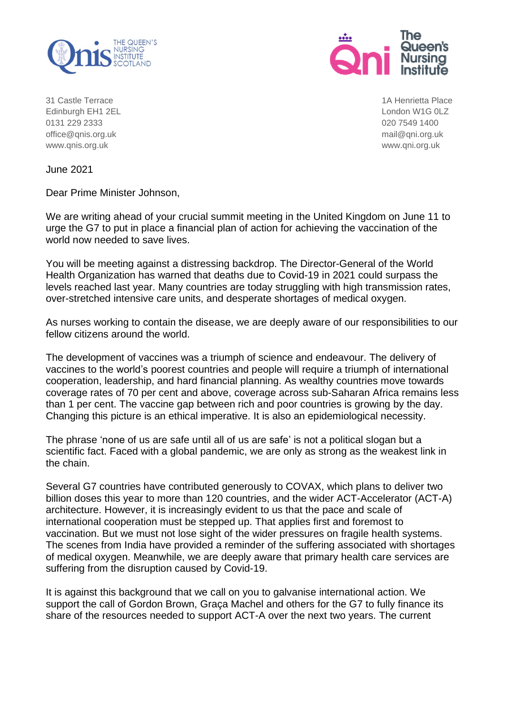



31 Castle Terrace 1A Henrietta Place Edinburgh EH1 2EL **London W1G 0LZ** 0131 229 2333 020 7549 1400 [office@qnis.org.uk](mailto:office@qnis.org.uk) mail@qni.org.uk [www.qnis.org.uk](http://www.qnis.org.uk/) www.qni.org.uk

June 2021

Dear Prime Minister Johnson,

We are writing ahead of your crucial summit meeting in the United Kingdom on June 11 to urge the G7 to put in place a financial plan of action for achieving the vaccination of the world now needed to save lives.

You will be meeting against a distressing backdrop. The Director-General of the World Health Organization has warned that deaths due to Covid-19 in 2021 could surpass the levels reached last year. Many countries are today struggling with high transmission rates, over-stretched intensive care units, and desperate shortages of medical oxygen.

As nurses working to contain the disease, we are deeply aware of our responsibilities to our fellow citizens around the world.

The development of vaccines was a triumph of science and endeavour. The delivery of vaccines to the world's poorest countries and people will require a triumph of international cooperation, leadership, and hard financial planning. As wealthy countries move towards coverage rates of 70 per cent and above, coverage across sub-Saharan Africa remains less than 1 per cent. The vaccine gap between rich and poor countries is growing by the day. Changing this picture is an ethical imperative. It is also an epidemiological necessity.

The phrase 'none of us are safe until all of us are safe' is not a political slogan but a scientific fact. Faced with a global pandemic, we are only as strong as the weakest link in the chain.

Several G7 countries have contributed generously to COVAX, which plans to deliver two billion doses this year to more than 120 countries, and the wider ACT-Accelerator (ACT-A) architecture. However, it is increasingly evident to us that the pace and scale of international cooperation must be stepped up. That applies first and foremost to vaccination. But we must not lose sight of the wider pressures on fragile health systems. The scenes from India have provided a reminder of the suffering associated with shortages of medical oxygen. Meanwhile, we are deeply aware that primary health care services are suffering from the disruption caused by Covid-19.

It is against this background that we call on you to galvanise international action. We support the call of Gordon Brown, Graça Machel and others for the G7 to fully finance its share of the resources needed to support ACT-A over the next two years. The current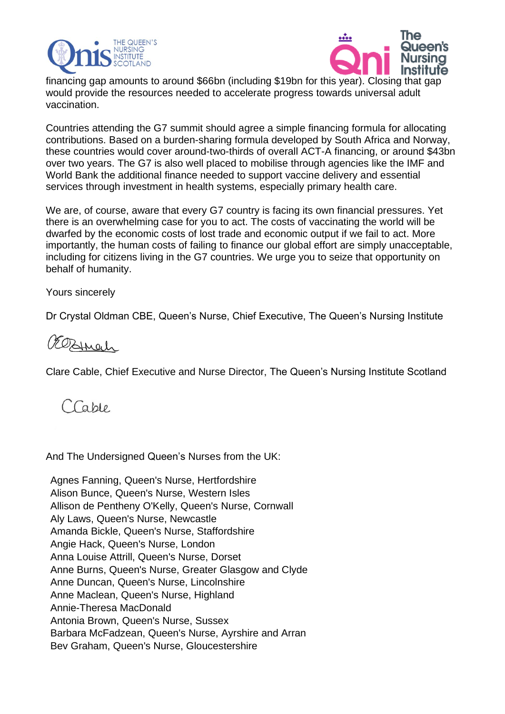



financing gap amounts to around \$66bn (including \$19bn for this year). Closing that gap would provide the resources needed to accelerate progress towards universal adult vaccination.

Countries attending the G7 summit should agree a simple financing formula for allocating contributions. Based on a burden-sharing formula developed by South Africa and Norway, these countries would cover around-two-thirds of overall ACT-A financing, or around \$43bn over two years. The G7 is also well placed to mobilise through agencies like the IMF and World Bank the additional finance needed to support vaccine delivery and essential services through investment in health systems, especially primary health care.

We are, of course, aware that every G7 country is facing its own financial pressures. Yet there is an overwhelming case for you to act. The costs of vaccinating the world will be dwarfed by the economic costs of lost trade and economic output if we fail to act. More importantly, the human costs of failing to finance our global effort are simply unacceptable, including for citizens living in the G7 countries. We urge you to seize that opportunity on behalf of humanity.

## Yours sincerely

Dr Crystal Oldman CBE, Queen's Nurse, Chief Executive, The Queen's Nursing Institute

## OEOBINach

Clare Cable, Chief Executive and Nurse Director, The Queen's Nursing Institute Scotland

Cable

And The Undersigned Queen's Nurses from the UK:

Agnes Fanning, Queen's Nurse, Hertfordshire Alison Bunce, Queen's Nurse, Western Isles Allison de Pentheny O'Kelly, Queen's Nurse, Cornwall Aly Laws, Queen's Nurse, Newcastle Amanda Bickle, Queen's Nurse, Staffordshire Angie Hack, Queen's Nurse, London Anna Louise Attrill, Queen's Nurse, Dorset Anne Burns, Queen's Nurse, Greater Glasgow and Clyde Anne Duncan, Queen's Nurse, Lincolnshire Anne Maclean, Queen's Nurse, Highland Annie-Theresa MacDonald Antonia Brown, Queen's Nurse, Sussex Barbara McFadzean, Queen's Nurse, Ayrshire and Arran Bev Graham, Queen's Nurse, Gloucestershire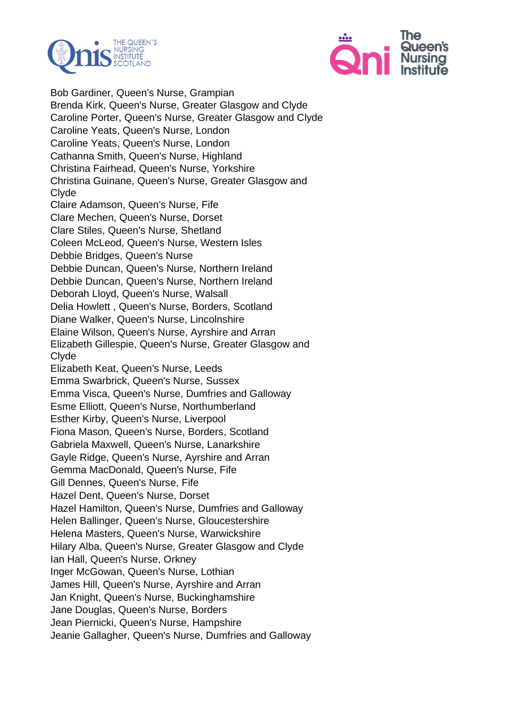



Bob Gardiner, Queen's Nurse, Grampian Brenda Kirk, Queen's Nurse, Greater Glasgow and Clyde Caroline Porter, Queen's Nurse, Greater Glasgow and Clyde Caroline Yeats, Queen's Nurse, London Caroline Yeats, Queen's Nurse, London Cathanna Smith, Queen's Nurse, Highland Christina Fairhead, Queen's Nurse, Yorkshire Christina Guinane, Queen's Nurse, Greater Glasgow and Clyde Claire Adamson, Queen's Nurse, Fife Clare Mechen, Queen's Nurse, Dorset Clare Stiles, Queen's Nurse, Shetland Coleen McLeod, Queen's Nurse, Western Isles Debbie Bridges, Queen's Nurse Debbie Duncan, Queen's Nurse, Northern Ireland Debbie Duncan, Queen's Nurse, Northern Ireland Deborah Lloyd, Queen's Nurse, Walsall Delia Howlett , Queen's Nurse, Borders, Scotland Diane Walker, Queen's Nurse, Lincolnshire Elaine Wilson, Queen's Nurse, Ayrshire and Arran Elizabeth Gillespie, Queen's Nurse, Greater Glasgow and Clyde Elizabeth Keat, Queen's Nurse, Leeds Emma Swarbrick, Queen's Nurse, Sussex Emma Visca, Queen's Nurse, Dumfries and Galloway Esme Elliott, Queen's Nurse, Northumberland Esther Kirby, Queen's Nurse, Liverpool Fiona Mason, Queen's Nurse, Borders, Scotland Gabriela Maxwell, Queen's Nurse, Lanarkshire Gayle Ridge, Queen's Nurse, Ayrshire and Arran Gemma MacDonald, Queen's Nurse, Fife Gill Dennes, Queen's Nurse, Fife Hazel Dent, Queen's Nurse, Dorset Hazel Hamilton, Queen's Nurse, Dumfries and Galloway Helen Ballinger, Queen's Nurse, Gloucestershire Helena Masters, Queen's Nurse, Warwickshire Hilary Alba, Queen's Nurse, Greater Glasgow and Clyde Ian Hall, Queen's Nurse, Orkney Inger McGowan, Queen's Nurse, Lothian James Hill, Queen's Nurse, Ayrshire and Arran Jan Knight, Queen's Nurse, Buckinghamshire Jane Douglas, Queen's Nurse, Borders Jean Piernicki, Queen's Nurse, Hampshire Jeanie Gallagher, Queen's Nurse, Dumfries and Galloway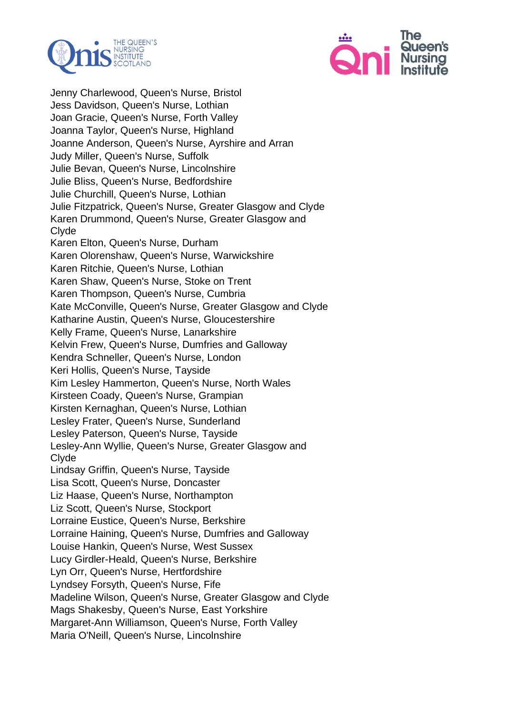



Jenny Charlewood, Queen's Nurse, Bristol Jess Davidson, Queen's Nurse, Lothian Joan Gracie, Queen's Nurse, Forth Valley Joanna Taylor, Queen's Nurse, Highland Joanne Anderson, Queen's Nurse, Ayrshire and Arran Judy Miller, Queen's Nurse, Suffolk Julie Bevan, Queen's Nurse, Lincolnshire Julie Bliss, Queen's Nurse, Bedfordshire Julie Churchill, Queen's Nurse, Lothian Julie Fitzpatrick, Queen's Nurse, Greater Glasgow and Clyde Karen Drummond, Queen's Nurse, Greater Glasgow and Clyde Karen Elton, Queen's Nurse, Durham Karen Olorenshaw, Queen's Nurse, Warwickshire Karen Ritchie, Queen's Nurse, Lothian Karen Shaw, Queen's Nurse, Stoke on Trent Karen Thompson, Queen's Nurse, Cumbria Kate McConville, Queen's Nurse, Greater Glasgow and Clyde Katharine Austin, Queen's Nurse, Gloucestershire Kelly Frame, Queen's Nurse, Lanarkshire Kelvin Frew, Queen's Nurse, Dumfries and Galloway Kendra Schneller, Queen's Nurse, London Keri Hollis, Queen's Nurse, Tayside Kim Lesley Hammerton, Queen's Nurse, North Wales Kirsteen Coady, Queen's Nurse, Grampian Kirsten Kernaghan, Queen's Nurse, Lothian Lesley Frater, Queen's Nurse, Sunderland Lesley Paterson, Queen's Nurse, Tayside Lesley-Ann Wyllie, Queen's Nurse, Greater Glasgow and Clyde Lindsay Griffin, Queen's Nurse, Tayside Lisa Scott, Queen's Nurse, Doncaster Liz Haase, Queen's Nurse, Northampton Liz Scott, Queen's Nurse, Stockport Lorraine Eustice, Queen's Nurse, Berkshire Lorraine Haining, Queen's Nurse, Dumfries and Galloway Louise Hankin, Queen's Nurse, West Sussex Lucy Girdler-Heald, Queen's Nurse, Berkshire Lyn Orr, Queen's Nurse, Hertfordshire Lyndsey Forsyth, Queen's Nurse, Fife Madeline Wilson, Queen's Nurse, Greater Glasgow and Clyde Mags Shakesby, Queen's Nurse, East Yorkshire Margaret-Ann Williamson, Queen's Nurse, Forth Valley Maria O'Neill, Queen's Nurse, Lincolnshire